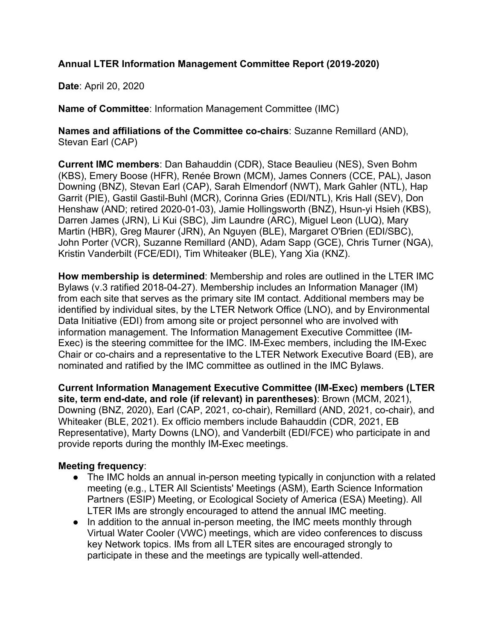## **Annual LTER Information Management Committee Report (2019-2020)**

**Date**: April 20, 2020

**Name of Committee**: Information Management Committee (IMC)

**Names and affiliations of the Committee co-chairs**: Suzanne Remillard (AND), Stevan Earl (CAP)

**Current IMC members**: Dan Bahauddin (CDR), Stace Beaulieu (NES), Sven Bohm (KBS), Emery Boose (HFR), Renée Brown (MCM), James Conners (CCE, PAL), Jason Downing (BNZ), Stevan Earl (CAP), Sarah Elmendorf (NWT), Mark Gahler (NTL), Hap Garrit (PIE), Gastil Gastil-Buhl (MCR), Corinna Gries (EDI/NTL), Kris Hall (SEV), Don Henshaw (AND; retired 2020-01-03), Jamie Hollingsworth (BNZ), Hsun-yi Hsieh (KBS), Darren James (JRN), Li Kui (SBC), Jim Laundre (ARC), Miguel Leon (LUQ), Mary Martin (HBR), Greg Maurer (JRN), An Nguyen (BLE), Margaret O'Brien (EDI/SBC), John Porter (VCR), Suzanne Remillard (AND), Adam Sapp (GCE), Chris Turner (NGA), Kristin Vanderbilt (FCE/EDI), Tim Whiteaker (BLE), Yang Xia (KNZ).

**How membership is determined**: Membership and roles are outlined in the LTER IMC Bylaws (v.3 ratified 2018-04-27). Membership includes an Information Manager (IM) from each site that serves as the primary site IM contact. Additional members may be identified by individual sites, by the LTER Network Office (LNO), and by Environmental Data Initiative (EDI) from among site or project personnel who are involved with information management. The Information Management Executive Committee (IM-Exec) is the steering committee for the IMC. IM-Exec members, including the IM-Exec Chair or co-chairs and a representative to the LTER Network Executive Board (EB), are nominated and ratified by the IMC committee as outlined in the IMC Bylaws.

**Current Information Management Executive Committee (IM-Exec) members (LTER site, term end-date, and role (if relevant) in parentheses)**: Brown (MCM, 2021), Downing (BNZ, 2020), Earl (CAP, 2021, co-chair), Remillard (AND, 2021, co-chair), and Whiteaker (BLE, 2021). Ex officio members include Bahauddin (CDR, 2021, EB Representative), Marty Downs (LNO), and Vanderbilt (EDI/FCE) who participate in and provide reports during the monthly IM-Exec meetings.

## **Meeting frequency**:

- The IMC holds an annual in-person meeting typically in conjunction with a related meeting (e.g., LTER All Scientists' Meetings (ASM), Earth Science Information Partners (ESIP) Meeting, or Ecological Society of America (ESA) Meeting). All LTER IMs are strongly encouraged to attend the annual IMC meeting.
- In addition to the annual in-person meeting, the IMC meets monthly through Virtual Water Cooler (VWC) meetings, which are video conferences to discuss key Network topics. IMs from all LTER sites are encouraged strongly to participate in these and the meetings are typically well-attended.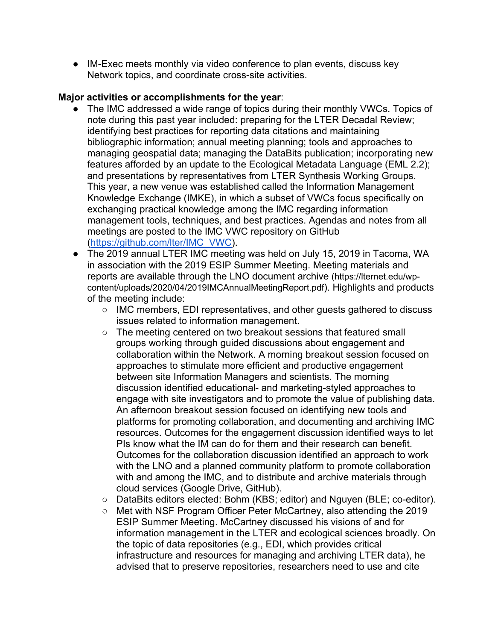● IM-Exec meets monthly via video conference to plan events, discuss key Network topics, and coordinate cross-site activities.

#### **Major activities or accomplishments for the year**:

- The IMC addressed a wide range of topics during their monthly VWCs. Topics of note during this past year included: preparing for the LTER Decadal Review; identifying best practices for reporting data citations and maintaining bibliographic information; annual meeting planning; tools and approaches to managing geospatial data; managing the DataBits publication; incorporating new features afforded by an update to the Ecological Metadata Language (EML 2.2); and presentations by representatives from LTER Synthesis Working Groups. This year, a new venue was established called the Information Management Knowledge Exchange (IMKE), in which a subset of VWCs focus specifically on exchanging practical knowledge among the IMC regarding information management tools, techniques, and best practices. Agendas and notes from all meetings are posted to the IMC VWC repository on GitHub (https://github.com/lter/IMC\_VWC).
- The 2019 annual LTER IMC meeting was held on July 15, 2019 in Tacoma, WA in association with the 2019 ESIP Summer Meeting. Meeting materials and reports are available through the LNO document archive (https://lternet.edu/wpcontent/uploads/2020/04/2019IMCAnnualMeetingReport.pdf). Highlights and products of the meeting include:
	- IMC members, EDI representatives, and other guests gathered to discuss issues related to information management.
	- The meeting centered on two breakout sessions that featured small groups working through guided discussions about engagement and collaboration within the Network. A morning breakout session focused on approaches to stimulate more efficient and productive engagement between site Information Managers and scientists. The morning discussion identified educational- and marketing-styled approaches to engage with site investigators and to promote the value of publishing data. An afternoon breakout session focused on identifying new tools and platforms for promoting collaboration, and documenting and archiving IMC resources. Outcomes for the engagement discussion identified ways to let PIs know what the IM can do for them and their research can benefit. Outcomes for the collaboration discussion identified an approach to work with the LNO and a planned community platform to promote collaboration with and among the IMC, and to distribute and archive materials through cloud services (Google Drive, GitHub).
	- DataBits editors elected: Bohm (KBS; editor) and Nguyen (BLE; co-editor).
	- Met with NSF Program Officer Peter McCartney, also attending the 2019 ESIP Summer Meeting. McCartney discussed his visions of and for information management in the LTER and ecological sciences broadly. On the topic of data repositories (e.g., EDI, which provides critical infrastructure and resources for managing and archiving LTER data), he advised that to preserve repositories, researchers need to use and cite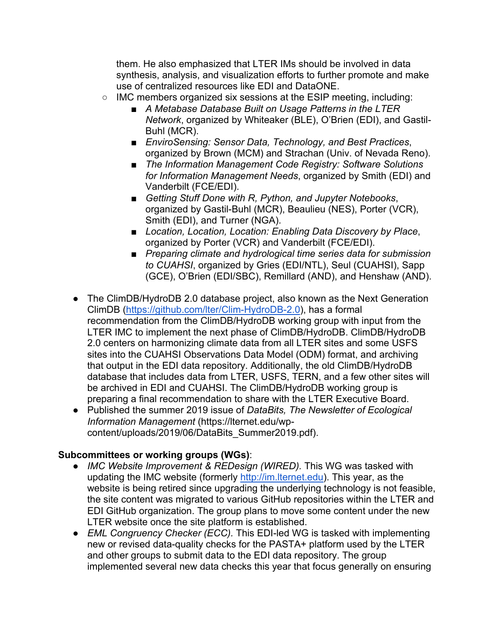them. He also emphasized that LTER IMs should be involved in data synthesis, analysis, and visualization efforts to further promote and make use of centralized resources like EDI and DataONE.

- $\circ$  IMC members organized six sessions at the ESIP meeting, including:
	- *A Metabase Database Built on Usage Patterns in the LTER Network*, organized by Whiteaker (BLE), O'Brien (EDI), and Gastil-Buhl (MCR).
	- *EnviroSensing: Sensor Data, Technology, and Best Practices,* organized by Brown (MCM) and Strachan (Univ. of Nevada Reno).
	- *The Information Management Code Registry: Software Solutions for Information Management Needs*, organized by Smith (EDI) and Vanderbilt (FCE/EDI).
	- *Getting Stuff Done with R, Python, and Jupyter Notebooks,* organized by Gastil-Buhl (MCR), Beaulieu (NES), Porter (VCR), Smith (EDI), and Turner (NGA).
	- *Location, Location, Location: Enabling Data Discovery by Place,* organized by Porter (VCR) and Vanderbilt (FCE/EDI).
	- *Preparing climate and hydrological time series data for submission to CUAHSI*, organized by Gries (EDI/NTL), Seul (CUAHSI), Sapp (GCE), O'Brien (EDI/SBC), Remillard (AND), and Henshaw (AND).
- The ClimDB/HydroDB 2.0 database project, also known as the Next Generation ClimDB (https://github.com/lter/Clim-HydroDB-2.0), has a formal recommendation from the ClimDB/HydroDB working group with input from the LTER IMC to implement the next phase of ClimDB/HydroDB. ClimDB/HydroDB 2.0 centers on harmonizing climate data from all LTER sites and some USFS sites into the CUAHSI Observations Data Model (ODM) format, and archiving that output in the EDI data repository. Additionally, the old ClimDB/HydroDB database that includes data from LTER, USFS, TERN, and a few other sites will be archived in EDI and CUAHSI. The ClimDB/HydroDB working group is preparing a final recommendation to share with the LTER Executive Board.
- Published the summer 2019 issue of *DataBits, The Newsletter of Ecological Information Management* (https://lternet.edu/wpcontent/uploads/2019/06/DataBits\_Summer2019.pdf).

## **Subcommittees or working groups (WGs)**:

- *IMC Website Improvement & REDesign (WIRED).* This WG was tasked with updating the IMC website (formerly http://im.lternet.edu). This year, as the website is being retired since upgrading the underlying technology is not feasible, the site content was migrated to various GitHub repositories within the LTER and EDI GitHub organization. The group plans to move some content under the new LTER website once the site platform is established.
- *EML Congruency Checker (ECC).* This EDI-led WG is tasked with implementing new or revised data-quality checks for the PASTA+ platform used by the LTER and other groups to submit data to the EDI data repository. The group implemented several new data checks this year that focus generally on ensuring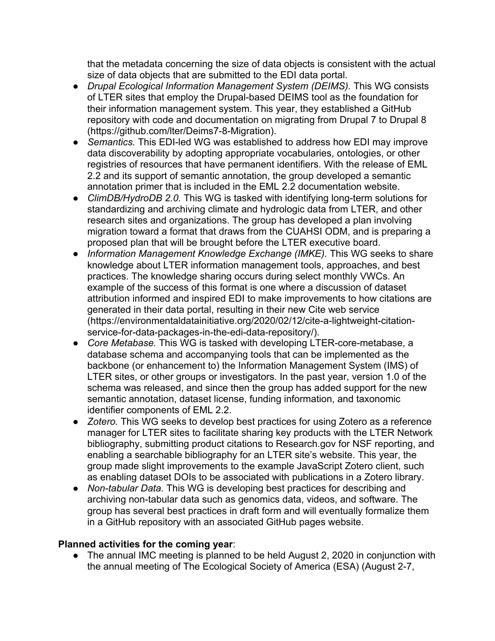that the metadata concerning the size of data objects is consistent with the actual size of data objects that are submitted to the EDI data portal.

- *Drupal Ecological Information Management System (DEIMS).* This WG consists of LTER sites that employ the Drupal-based DEIMS tool as the foundation for their information management system. This year, they established a GitHub repository with code and documentation on migrating from Drupal 7 to Drupal 8 (https://github.com/lter/Deims7-8-Migration).
- *Semantics.* This EDI-led WG was established to address how EDI may improve data discoverability by adopting appropriate vocabularies, ontologies, or other registries of resources that have permanent identifiers. With the release of EML 2.2 and its support of semantic annotation, the group developed a semantic annotation primer that is included in the EML 2.2 documentation website.
- *ClimDB/HydroDB 2.0.* This WG is tasked with identifying long-term solutions for standardizing and archiving climate and hydrologic data from LTER, and other research sites and organizations. The group has developed a plan involving migration toward a format that draws from the CUAHSI ODM, and is preparing a proposed plan that will be brought before the LTER executive board.
- *Information Management Knowledge Exchange (IMKE).* This WG seeks to share knowledge about LTER information management tools, approaches, and best practices. The knowledge sharing occurs during select monthly VWCs. An example of the success of this format is one where a discussion of dataset attribution informed and inspired EDI to make improvements to how citations are generated in their data portal, resulting in their new Cite web service (https://environmentaldatainitiative.org/2020/02/12/cite-a-lightweight-citationservice-for-data-packages-in-the-edi-data-repository/).
- *Core Metabase.* This WG is tasked with developing LTER-core-metabase, a database schema and accompanying tools that can be implemented as the backbone (or enhancement to) the Information Management System (IMS) of LTER sites, or other groups or investigators. In the past year, version 1.0 of the schema was released, and since then the group has added support for the new semantic annotation, dataset license, funding information, and taxonomic identifier components of EML 2.2.
- *Zotero*. This WG seeks to develop best practices for using Zotero as a reference manager for LTER sites to facilitate sharing key products with the LTER Network bibliography, submitting product citations to Research.gov for NSF reporting, and enabling a searchable bibliography for an LTER site's website. This year, the group made slight improvements to the example JavaScript Zotero client, such as enabling dataset DOIs to be associated with publications in a Zotero library.
- *Non-tabular Data.* This WG is developing best practices for describing and archiving non-tabular data such as genomics data, videos, and software. The group has several best practices in draft form and will eventually formalize them in a GitHub repository with an associated GitHub pages website.

#### **Planned activities for the coming year**:

● The annual IMC meeting is planned to be held August 2, 2020 in conjunction with the annual meeting of The Ecological Society of America (ESA) (August 2-7,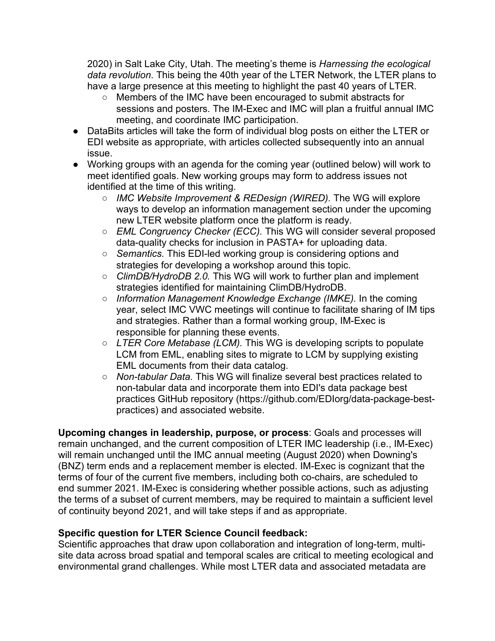2020) in Salt Lake City, Utah. The meeting's theme is *Harnessing the ecological data revolution*. This being the 40th year of the LTER Network, the LTER plans to have a large presence at this meeting to highlight the past 40 years of LTER.

- Members of the IMC have been encouraged to submit abstracts for sessions and posters. The IM-Exec and IMC will plan a fruitful annual IMC meeting, and coordinate IMC participation.
- DataBits articles will take the form of individual blog posts on either the LTER or EDI website as appropriate, with articles collected subsequently into an annual issue.
- Working groups with an agenda for the coming year (outlined below) will work to meet identified goals. New working groups may form to address issues not identified at the time of this writing.
	- *IMC Website Improvement & REDesign (WIRED).* The WG will explore ways to develop an information management section under the upcoming new LTER website platform once the platform is ready.
	- *EML Congruency Checker (ECC)*. This WG will consider several proposed data-quality checks for inclusion in PASTA+ for uploading data.
	- *Semantics.* This EDI-led working group is considering options and strategies for developing a workshop around this topic.
	- *ClimDB/HydroDB 2.0.* This WG will work to further plan and implement strategies identified for maintaining ClimDB/HydroDB.
	- *Information Management Knowledge Exchange (IMKE).* In the coming year, select IMC VWC meetings will continue to facilitate sharing of IM tips and strategies. Rather than a formal working group, IM-Exec is responsible for planning these events.
	- *LTER Core Metabase (LCM).* This WG is developing scripts to populate LCM from EML, enabling sites to migrate to LCM by supplying existing EML documents from their data catalog.
	- *Non-tabular Data.* This WG will finalize several best practices related to non-tabular data and incorporate them into EDI's data package best practices GitHub repository (https://github.com/EDIorg/data-package-bestpractices) and associated website.

**Upcoming changes in leadership, purpose, or process**: Goals and processes will remain unchanged, and the current composition of LTER IMC leadership (i.e., IM-Exec) will remain unchanged until the IMC annual meeting (August 2020) when Downing's (BNZ) term ends and a replacement member is elected. IM-Exec is cognizant that the terms of four of the current five members, including both co-chairs, are scheduled to end summer 2021. IM-Exec is considering whether possible actions, such as adjusting the terms of a subset of current members, may be required to maintain a sufficient level of continuity beyond 2021, and will take steps if and as appropriate.

# **Specific question for LTER Science Council feedback:**

Scientific approaches that draw upon collaboration and integration of long-term, multisite data across broad spatial and temporal scales are critical to meeting ecological and environmental grand challenges. While most LTER data and associated metadata are